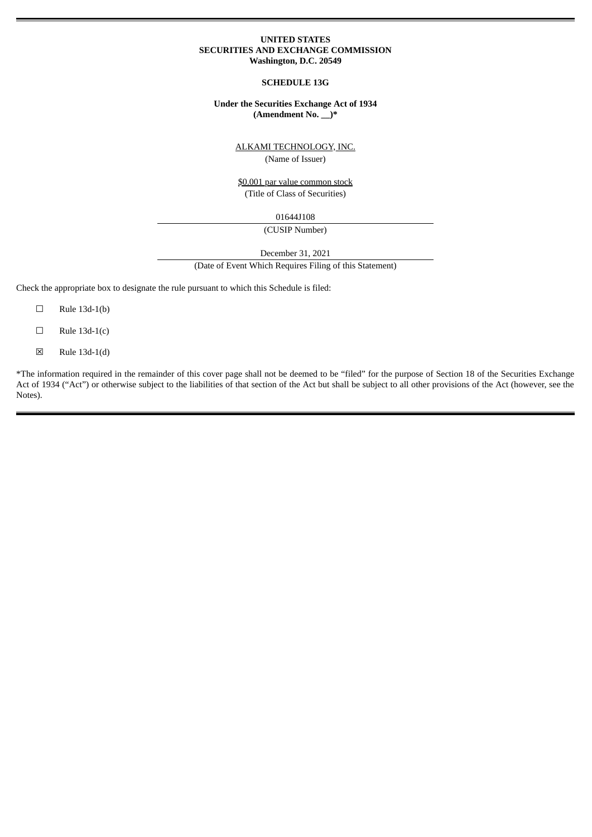#### **UNITED STATES SECURITIES AND EXCHANGE COMMISSION Washington, D.C. 20549**

#### **SCHEDULE 13G**

#### **Under the Securities Exchange Act of 1934 (Amendment No. \_\_)\***

ALKAMI TECHNOLOGY, INC.

(Name of Issuer)

\$0.001 par value common stock (Title of Class of Securities)

01644J108

(CUSIP Number)

December 31, 2021

(Date of Event Which Requires Filing of this Statement)

Check the appropriate box to designate the rule pursuant to which this Schedule is filed:

- $\square$  Rule 13d-1(b)
- $\Box$  Rule 13d-1(c)
- ☒ Rule 13d-1(d)

\*The information required in the remainder of this cover page shall not be deemed to be "filed" for the purpose of Section 18 of the Securities Exchange Act of 1934 ("Act") or otherwise subject to the liabilities of that section of the Act but shall be subject to all other provisions of the Act (however, see the Notes).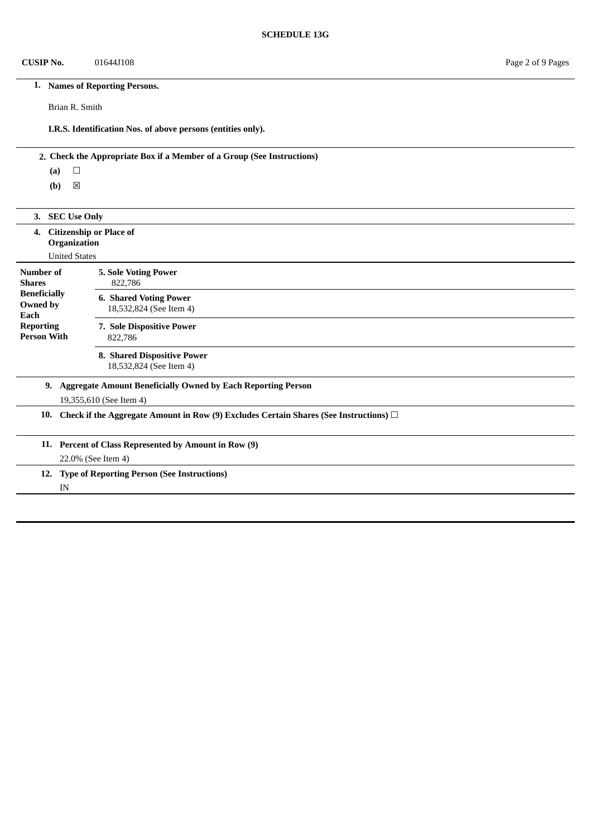## **CUSIP No.** 01644J108 Page 2 of 9 Pages

## **1. Names of Reporting Persons.**

Brian R. Smith

**I.R.S. Identification Nos. of above persons (entities only).**

## **2. Check the Appropriate Box if a Member of a Group (See Instructions)**

**(a)** ☐

|                                                                                                      | <b>SEC Use Only</b><br>3.                                                    |                                                          |  |  |  |
|------------------------------------------------------------------------------------------------------|------------------------------------------------------------------------------|----------------------------------------------------------|--|--|--|
|                                                                                                      | <b>Citizenship or Place of</b><br>4.<br>Organization<br><b>United States</b> |                                                          |  |  |  |
| Number of<br><b>Shares</b>                                                                           |                                                                              | <b>5. Sole Voting Power</b><br>822,786                   |  |  |  |
| <b>Beneficially</b><br>Owned by<br>Each                                                              |                                                                              | <b>6. Shared Voting Power</b><br>18,532,824 (See Item 4) |  |  |  |
| <b>Reporting</b>                                                                                     | <b>Person With</b>                                                           | 7. Sole Dispositive Power<br>822,786                     |  |  |  |
|                                                                                                      |                                                                              | 8. Shared Dispositive Power<br>18,532,824 (See Item 4)   |  |  |  |
| <b>Aggregate Amount Beneficially Owned by Each Reporting Person</b><br>9.<br>19,355,610 (See Item 4) |                                                                              |                                                          |  |  |  |
| 10.<br>Check if the Aggregate Amount in Row (9) Excludes Certain Shares (See Instructions) $\Box$    |                                                                              |                                                          |  |  |  |
|                                                                                                      | 11. Percent of Class Represented by Amount in Row (9)                        |                                                          |  |  |  |
|                                                                                                      | 22.0% (See Item 4)                                                           |                                                          |  |  |  |
|                                                                                                      | <b>Type of Reporting Person (See Instructions)</b><br>12.                    |                                                          |  |  |  |
|                                                                                                      | IN                                                                           |                                                          |  |  |  |
|                                                                                                      |                                                                              |                                                          |  |  |  |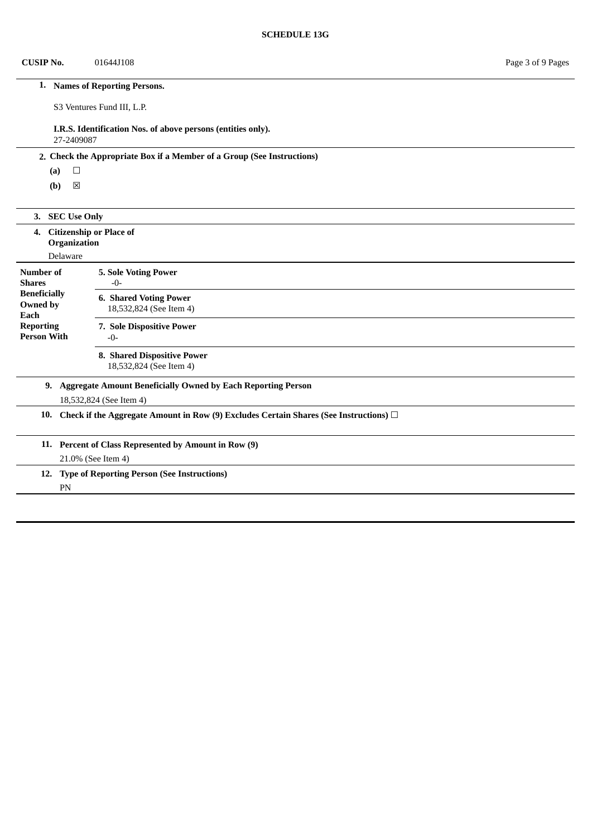## **CUSIP No.** 01644J108 Page 3 of 9 Pages

# **1. Names of Reporting Persons.**

S3 Ventures Fund III, L.P.

# **I.R.S. Identification Nos. of above persons (entities only).**

27-2409087

## **2. Check the Appropriate Box if a Member of a Group (See Instructions)**

**(a)** ☐

| <b>SEC Use Only</b><br>3.                                                                            |                                                            |  |  |  |  |
|------------------------------------------------------------------------------------------------------|------------------------------------------------------------|--|--|--|--|
| 4.                                                                                                   | <b>Citizenship or Place of</b><br>Organization<br>Delaware |  |  |  |  |
| Number of<br><b>Shares</b>                                                                           | <b>5. Sole Voting Power</b><br>$-0-$                       |  |  |  |  |
| <b>Beneficially</b><br>Owned by<br>Each                                                              | <b>6. Shared Voting Power</b><br>18,532,824 (See Item 4)   |  |  |  |  |
| <b>Reporting</b><br><b>Person With</b>                                                               | 7. Sole Dispositive Power<br>$-0-$                         |  |  |  |  |
|                                                                                                      | 8. Shared Dispositive Power<br>18,532,824 (See Item 4)     |  |  |  |  |
| <b>Aggregate Amount Beneficially Owned by Each Reporting Person</b><br>9.<br>18,532,824 (See Item 4) |                                                            |  |  |  |  |
| 10.<br>Check if the Aggregate Amount in Row (9) Excludes Certain Shares (See Instructions) $\square$ |                                                            |  |  |  |  |
|                                                                                                      | 11. Percent of Class Represented by Amount in Row (9)      |  |  |  |  |
| 21.0% (See Item 4)                                                                                   |                                                            |  |  |  |  |
| <b>Type of Reporting Person (See Instructions)</b><br>12.                                            |                                                            |  |  |  |  |
|                                                                                                      | PN                                                         |  |  |  |  |
|                                                                                                      |                                                            |  |  |  |  |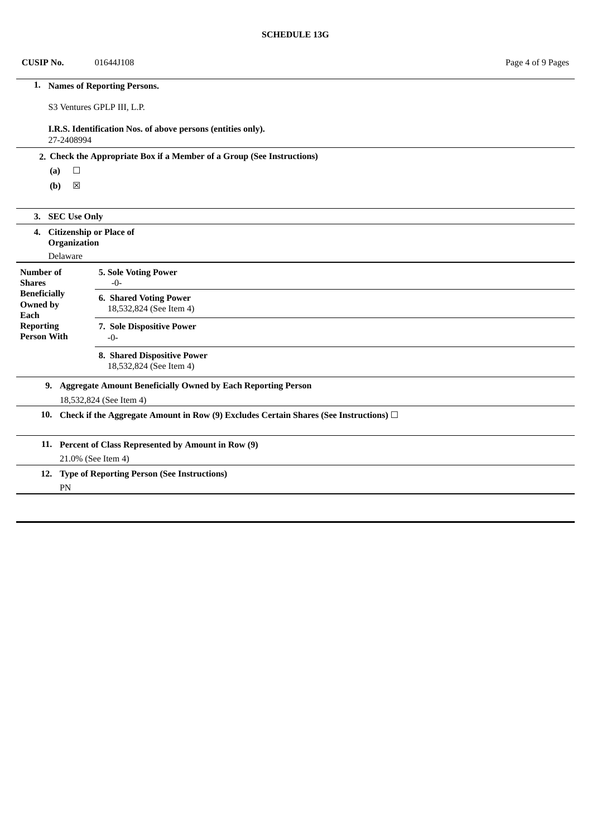# **1. Names of Reporting Persons.**

S3 Ventures GPLP III, L.P.

# **I.R.S. Identification Nos. of above persons (entities only).**

27-2408994

## **2. Check the Appropriate Box if a Member of a Group (See Instructions)**

**(a)** ☐

| 3.                                                                                                   | <b>SEC Use Only</b>                                        |                                                          |  |  |  |
|------------------------------------------------------------------------------------------------------|------------------------------------------------------------|----------------------------------------------------------|--|--|--|
| 4.                                                                                                   | <b>Citizenship or Place of</b><br>Organization<br>Delaware |                                                          |  |  |  |
| Number of<br><b>Shares</b>                                                                           |                                                            | <b>5. Sole Voting Power</b><br>$-0-$                     |  |  |  |
| <b>Beneficially</b><br>Owned by<br>Each                                                              |                                                            | <b>6. Shared Voting Power</b><br>18,532,824 (See Item 4) |  |  |  |
| <b>Reporting</b>                                                                                     | <b>Person With</b>                                         | 7. Sole Dispositive Power<br>$-0-$                       |  |  |  |
| 8. Shared Dispositive Power<br>18,532,824 (See Item 4)                                               |                                                            |                                                          |  |  |  |
| <b>Aggregate Amount Beneficially Owned by Each Reporting Person</b><br>9.<br>18,532,824 (See Item 4) |                                                            |                                                          |  |  |  |
| 10.<br>Check if the Aggregate Amount in Row (9) Excludes Certain Shares (See Instructions) $\square$ |                                                            |                                                          |  |  |  |
|                                                                                                      | 11. Percent of Class Represented by Amount in Row (9)      |                                                          |  |  |  |
|                                                                                                      | 21.0% (See Item 4)                                         |                                                          |  |  |  |
|                                                                                                      | <b>Type of Reporting Person (See Instructions)</b><br>12.  |                                                          |  |  |  |
|                                                                                                      | PN                                                         |                                                          |  |  |  |
|                                                                                                      |                                                            |                                                          |  |  |  |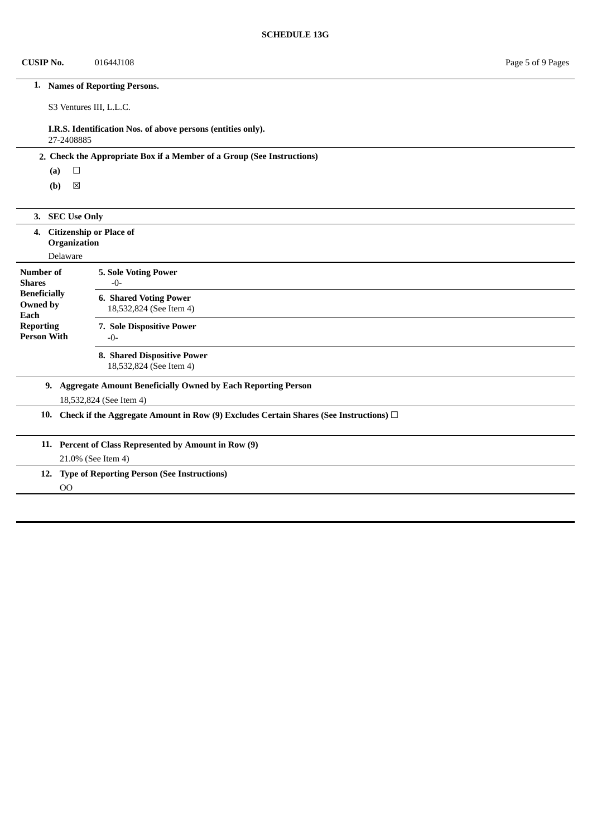## **CUSIP No.** 01644J108 Page 5 of 9 Pages

# **1. Names of Reporting Persons.**

S3 Ventures III, L.L.C.

# **I.R.S. Identification Nos. of above persons (entities only).**

27-2408885

## **2. Check the Appropriate Box if a Member of a Group (See Instructions)**

**(a)** ☐

| 3.                                                                                                   | <b>SEC Use Only</b>                                        |                                                          |  |  |  |
|------------------------------------------------------------------------------------------------------|------------------------------------------------------------|----------------------------------------------------------|--|--|--|
| 4.                                                                                                   | <b>Citizenship or Place of</b><br>Organization<br>Delaware |                                                          |  |  |  |
| <b>Number of</b><br><b>Shares</b>                                                                    |                                                            | <b>5. Sole Voting Power</b><br>$-0-$                     |  |  |  |
| <b>Beneficially</b><br>Owned by<br>Each                                                              |                                                            | <b>6. Shared Voting Power</b><br>18,532,824 (See Item 4) |  |  |  |
| <b>Reporting</b><br><b>Person With</b>                                                               |                                                            | 7. Sole Dispositive Power<br>$-0-$                       |  |  |  |
|                                                                                                      |                                                            | 8. Shared Dispositive Power<br>18,532,824 (See Item 4)   |  |  |  |
| <b>Aggregate Amount Beneficially Owned by Each Reporting Person</b><br>9.<br>18,532,824 (See Item 4) |                                                            |                                                          |  |  |  |
| Check if the Aggregate Amount in Row (9) Excludes Certain Shares (See Instructions) $\Box$<br>10.    |                                                            |                                                          |  |  |  |
|                                                                                                      | 11. Percent of Class Represented by Amount in Row (9)      |                                                          |  |  |  |
|                                                                                                      | 21.0% (See Item 4)                                         |                                                          |  |  |  |
|                                                                                                      |                                                            | 12. Type of Reporting Person (See Instructions)          |  |  |  |
|                                                                                                      | 00                                                         |                                                          |  |  |  |
|                                                                                                      |                                                            |                                                          |  |  |  |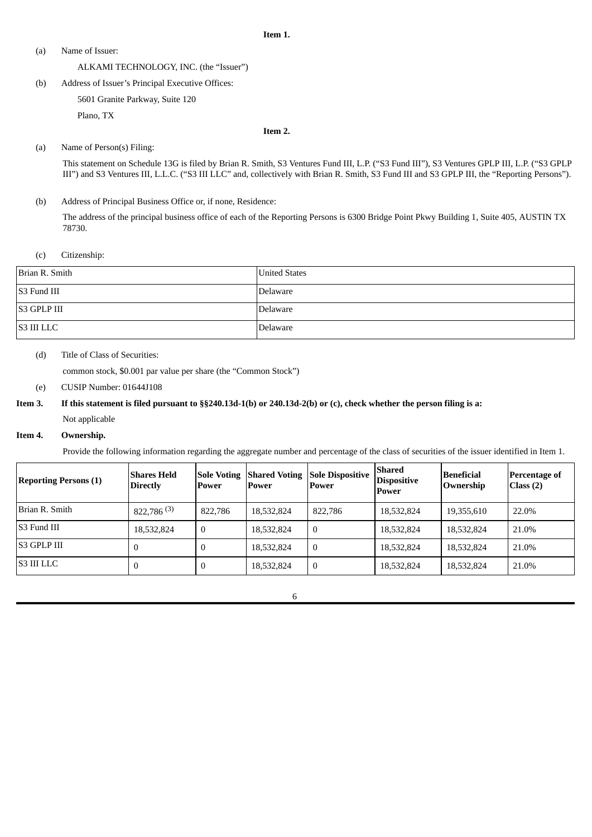#### **Item 1.**

(a) Name of Issuer:

#### ALKAMI TECHNOLOGY, INC. (the "Issuer")

(b) Address of Issuer's Principal Executive Offices:

5601 Granite Parkway, Suite 120

Plano, TX

#### **Item 2.**

#### (a) Name of Person(s) Filing:

This statement on Schedule 13G is filed by Brian R. Smith, S3 Ventures Fund III, L.P. ("S3 Fund III"), S3 Ventures GPLP III, L.P. ("S3 GPLP III") and S3 Ventures III, L.L.C. ("S3 III LLC" and, collectively with Brian R. Smith, S3 Fund III and S3 GPLP III, the "Reporting Persons").

(b) Address of Principal Business Office or, if none, Residence:

The address of the principal business office of each of the Reporting Persons is 6300 Bridge Point Pkwy Building 1, Suite 405, AUSTIN TX 78730.

## (c) Citizenship:

| Brian R. Smith | <b>United States</b> |
|----------------|----------------------|
| S3 Fund III    | Delaware             |
| S3 GPLP III    | Delaware             |
| S3 III LLC     | Delaware             |

#### (d) Title of Class of Securities:

common stock, \$0.001 par value per share (the "Common Stock")

(e) CUSIP Number: 01644J108

# Item 3. If this statement is filed pursuant to §§240.13d-1(b) or 240.13d-2(b) or (c), check whether the person filing is a: Not applicable

#### **Item 4. Ownership.**

Provide the following information regarding the aggregate number and percentage of the class of securities of the issuer identified in Item 1.

| <b>Reporting Persons (1)</b> | <b>Shares Held</b><br><b>Directly</b> | Power            | Power      | <b>Sole Voting Shared Voting Sole Dispositive</b><br>Power | Shared<br><b>Dispositive</b><br>Power | <b>Beneficial</b><br>Ownership | <b>Percentage of</b><br>Class (2) |
|------------------------------|---------------------------------------|------------------|------------|------------------------------------------------------------|---------------------------------------|--------------------------------|-----------------------------------|
| Brian R. Smith               | $822,786^{(3)}$                       | 822.786          | 18,532,824 | 822,786                                                    | 18,532,824                            | 19,355,610                     | 22.0%                             |
| S3 Fund III                  | 18,532,824                            | $\boldsymbol{0}$ | 18,532,824 | $\boldsymbol{0}$                                           | 18,532,824                            | 18,532,824                     | 21.0%                             |
| S3 GPLP III                  |                                       | $\boldsymbol{0}$ | 18,532,824 | $\mathbf{0}$                                               | 18,532,824                            | 18,532,824                     | 21.0%                             |
| <b>S3 III LLC</b>            |                                       | $\boldsymbol{0}$ | 18,532,824 | $\boldsymbol{0}$                                           | 18,532,824                            | 18,532,824                     | 21.0%                             |

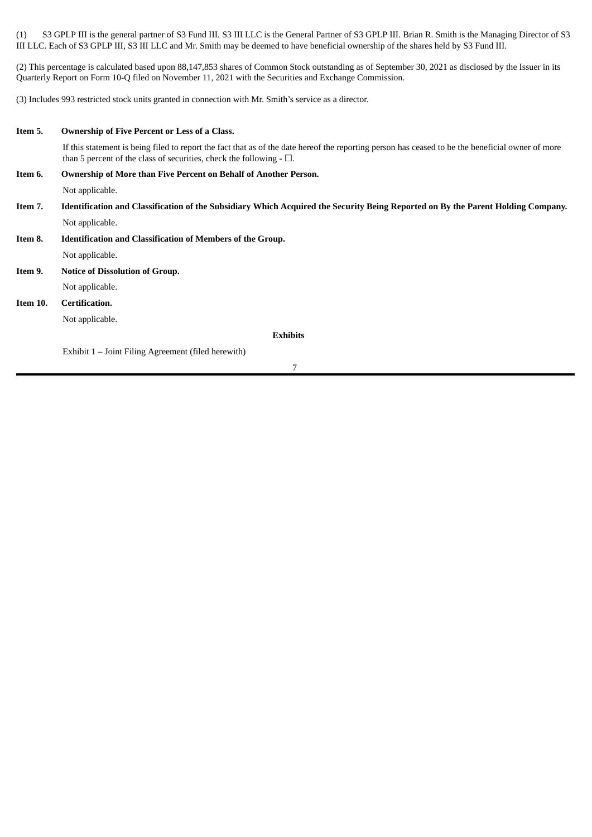(1) S3 GPLP III is the general partner of S3 Fund III. S3 III LLC is the General Partner of S3 GPLP III. Brian R. Smith is the Managing Director of S3 III LLC. Each of S3 GPLP III, S3 III LLC and Mr. Smith may be deemed to have beneficial ownership of the shares held by S3 Fund III.

(2) This percentage is calculated based upon 88,147,853 shares of Common Stock outstanding as of September 30, 2021 as disclosed by the Issuer in its Quarterly Report on Form 10-Q filed on November 11, 2021 with the Securities and Exchange Commission.

(3) Includes 993 restricted stock units granted in connection with Mr. Smith's service as a director.

| Item 5.  | Ownership of Five Percent or Less of a Class.                                                                                                                                                                                  |  |
|----------|--------------------------------------------------------------------------------------------------------------------------------------------------------------------------------------------------------------------------------|--|
|          | If this statement is being filed to report the fact that as of the date hereof the reporting person has ceased to be the beneficial owner of more<br>than 5 percent of the class of securities, check the following $- \Box$ . |  |
| Item 6.  | Ownership of More than Five Percent on Behalf of Another Person.                                                                                                                                                               |  |
|          | Not applicable.                                                                                                                                                                                                                |  |
| Item 7.  | Identification and Classification of the Subsidiary Which Acquired the Security Being Reported on By the Parent Holding Company.                                                                                               |  |
|          | Not applicable.                                                                                                                                                                                                                |  |
| Item 8.  | Identification and Classification of Members of the Group.                                                                                                                                                                     |  |
|          | Not applicable.                                                                                                                                                                                                                |  |
| Item 9.  | <b>Notice of Dissolution of Group.</b>                                                                                                                                                                                         |  |
|          | Not applicable.                                                                                                                                                                                                                |  |
| Item 10. | Certification.                                                                                                                                                                                                                 |  |
|          | Not applicable.                                                                                                                                                                                                                |  |
|          | <b>Exhibits</b>                                                                                                                                                                                                                |  |
|          | Exhibit 1 – Joint Filing Agreement (filed herewith)                                                                                                                                                                            |  |
|          | 7                                                                                                                                                                                                                              |  |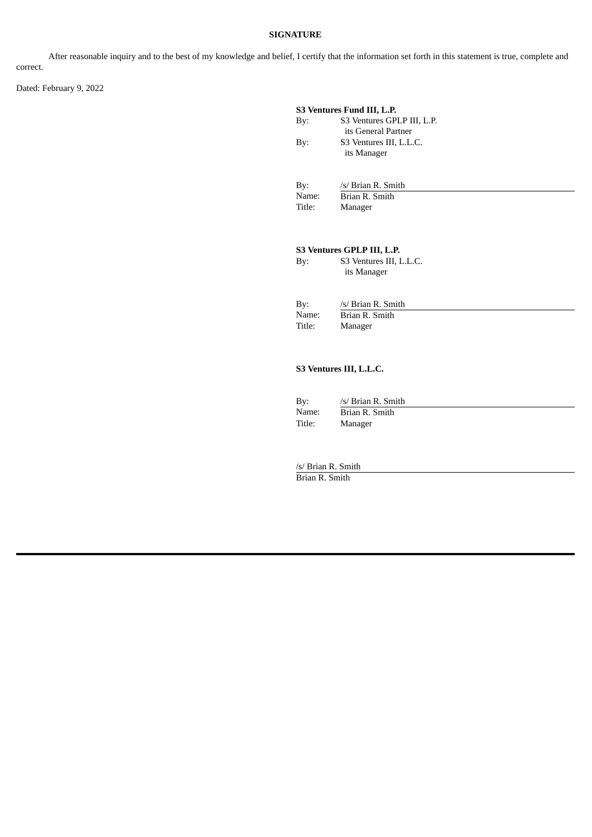## **SIGNATURE**

After reasonable inquiry and to the best of my knowledge and belief, I certify that the information set forth in this statement is true, complete and correct.

Dated: February 9, 2022

| S3 Ventures Fund III, L.P. |                                                   |  |
|----------------------------|---------------------------------------------------|--|
| Bv:                        | S3 Ventures GPLP III, L.P.<br>its General Partner |  |
| Bv:                        | S3 Ventures III, L.L.C.<br>its Manager            |  |
| By:                        | /s/ Brian R. Smith                                |  |
| Name:                      | Brian R. Smith                                    |  |

Title: Manager

**S3 Ventures GPLP III, L.P.** S3 Ventures III, L.L.C. its Manager

| Bv:    | /s/ Brian R. Smith |
|--------|--------------------|
| Name:  | Brian R. Smith     |
| Title: | Manager            |

### **S3 Ventures III, L.L.C.**

| By:    | /s/ Brian R. Smith |
|--------|--------------------|
| Name:  | Brian R. Smith     |
| Title: | Manager            |

/s/ Brian R. Smith Brian R. Smith